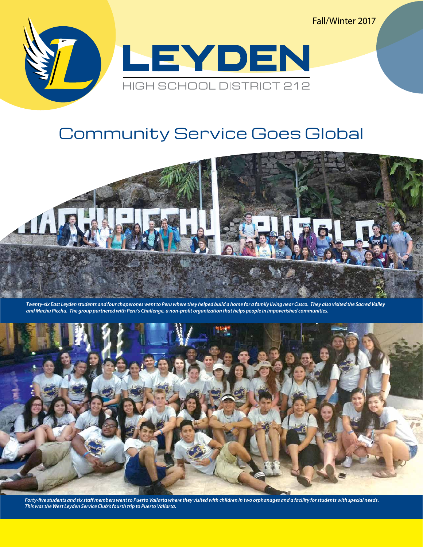Fall/Winter 2017



## Community Service Goes Global



*Twenty-six East Leyden students and four chaperones went to Peru where they helped build a home for a family living near Cusco. They also visited the Sacred Valley and Machu Picchu. The group partnered with Peru's Challenge, a non-profit organization that helps people in impoverished communities.* 



*Forty-five students and six staff members went to Puerto Vallarta where they visited with children in two orphanages and a facility for students with special needs. This was the West Leyden Service Club's fourth trip to Puerto Vallarta.*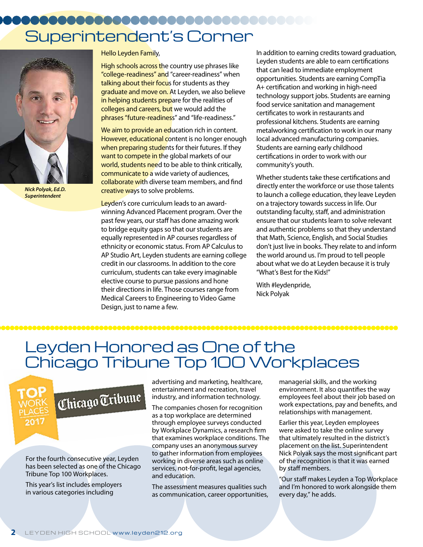# Superintendent's Corner



*Nick Polyak, Ed.D. Superintendent*

Hello Leyden Family,

High schools across the country use phrases like "college-readiness" and "career-readiness" when talking about their focus for students as they graduate and move on. At Leyden, we also believe in helping students prepare for the realities of colleges and careers, but we would add the phrases "future-readiness" and "life-readiness."

We aim to provide an education rich in content. However, educational content is no longer enough when preparing students for their futures. If they want to compete in the global markets of our world, students need to be able to think critically, communicate to a wide variety of audiences, collaborate with diverse team members, and find creative ways to solve problems.

Leyden's core curriculum leads to an awardwinning Advanced Placement program. Over the past few years, our staff has done amazing work to bridge equity gaps so that our students are equally represented in AP courses regardless of ethnicity or economic status. From AP Calculus to AP Studio Art, Leyden students are earning college credit in our classrooms. In addition to the core curriculum, students can take every imaginable elective course to pursue passions and hone their directions in life. Those courses range from Medical Careers to Engineering to Video Game Design, just to name a few.

In addition to earning credits toward graduation, Leyden students are able to earn certifications that can lead to immediate employment opportunities. Students are earning CompTia A+ certification and working in high-need technology support jobs. Students are earning food service sanitation and management certificates to work in restaurants and professional kitchens. Students are earning metalworking certification to work in our many local advanced manufacturing companies. Students are earning early childhood certifications in order to work with our community's youth.

Whether students take these certifications and directly enter the workforce or use those talents to launch a college education, they leave Leyden on a trajectory towards success in life. Our outstanding faculty, staff, and administration ensure that our students learn to solve relevant and authentic problems so that they understand that Math, Science, English, and Social Studies don't just live in books. They relate to and inform the world around us. I'm proud to tell people about what we do at Leyden because it is truly "What's Best for the Kids!"

With #leydenpride, Nick Polyak

## Leyden Honored as One of the Chicago Tribune Top 100 Workplaces



For the fourth consecutive year, Leyden has been selected as one of the Chicago Tribune Top 100 Workplaces.

This year's list includes employers in various categories including

advertising and marketing, healthcare, entertainment and recreation, travel industry, and information technology.

The companies chosen for recognition as a top workplace are determined through employee surveys conducted by Workplace Dynamics, a research firm that examines workplace conditions. The company uses an anonymous survey to gather information from employees working in diverse areas such as online services, not-for-profit, legal agencies, and education.

The assessment measures qualities such as communication, career opportunities, managerial skills, and the working environment. It also quantifies the way employees feel about their job based on work expectations, pay and benefits, and relationships with management.

Earlier this year, Leyden employees were asked to take the online survey that ultimately resulted in the district's placement on the list. Superintendent Nick Polyak says the most significant part of the recognition is that it was earned by staff members.

"Our staff makes Leyden a Top Workplace and I'm honored to work alongside them every day," he adds.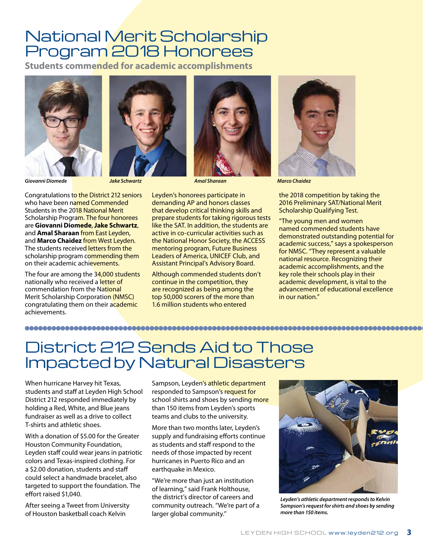## National Merit Scholarship Program 2018 Honorees

**Students commended for academic accomplishments**





Congratulations to the District 212 seniors who have been named Commended Students in the 2018 National Merit Scholarship Program. The four honorees are **Giovanni Diomede**, **Jake Schwartz**, and **Amal Sharaan** from East Leyden, and **Marco Chaidez** from West Leyden. The students received letters from the scholarship program commending them on their academic achievements.

The four are among the 34,000 students nationally who received a letter of commendation from the National Merit Scholarship Corporation (NMSC) congratulating them on their academic achievements.

Leyden's honorees participate in demanding AP and honors classes that develop critical thinking skills and prepare students for taking rigorous tests like the SAT. In addition, the students are active in co-curricular activities such as the National Honor Society, the ACCESS mentoring program, Future Business Leaders of America, UNICEF Club, and Assistant Principal's Advisory Board.

*Amal Sharaan* 

Although commended students don't continue in the competition, they are recognized as being among the top 50,000 scorers of the more than 1.6 million students who entered



*Giovanni Diomede Jake Schwartz Marco Chaidez* 

the 2018 competition by taking the 2016 Preliminary SAT/National Merit Scholarship Qualifying Test.

"The young men and women named commended students have demonstrated outstanding potential for academic success," says a spokesperson for NMSC. "They represent a valuable national resource. Recognizing their academic accomplishments, and the key role their schools play in their academic development, is vital to the advancement of educational excellence in our nation."

## District 212 Sends Aid to Those Impacted by Natural Disasters

When hurricane Harvey hit Texas, students and staff at Leyden High School District 212 responded immediately by holding a Red, White, and Blue jeans fundraiser as well as a drive to collect T-shirts and athletic shoes.

With a donation of \$5.00 for the Greater Houston Community Foundation, Leyden staff could wear jeans in patriotic colors and Texas-inspired clothing. For a \$2.00 donation, students and staff could select a handmade bracelet, also targeted to support the foundation. The effort raised \$1,040.

After seeing a Tweet from University of Houston basketball coach Kelvin

Sampson, Leyden's athletic department responded to Sampson's request for school shirts and shoes by sending more than 150 items from Leyden's sports teams and clubs to the university.

More than two months later, Leyden's supply and fundraising efforts continue as students and staff respond to the needs of those impacted by recent hurricanes in Puerto Rico and an earthquake in Mexico.

"We're more than just an institution of learning," said Frank Holthouse, the district's director of careers and community outreach. "We're part of a larger global community."



*Leyden's athletic department responds to Kelvin Sampson's request for shirts and shoes by sending more than 150 items.*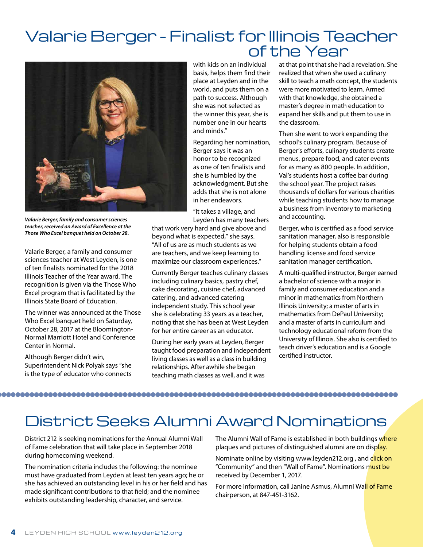## Valarie Berger - Finalist for Illinois Teacher of the Year



*Valarie Berger, family and consumer sciences teacher, received an Award of Excellence at the Those Who Excel banquet held on October 28.* 

Valarie Berger, a family and consumer sciences teacher at West Leyden, is one of ten finalists nominated for the 2018 Illinois Teacher of the Year award. The recognition is given via the Those Who Excel program that is facilitated by the Illinois State Board of Education.

The winner was announced at the Those Who Excel banquet held on Saturday, October 28, 2017 at the Bloomington-Normal Marriott Hotel and Conference Center in Normal.

Although Berger didn't win, Superintendent Nick Polyak says "she is the type of educator who connects with kids on an individual basis, helps them find their place at Leyden and in the world, and puts them on a path to success. Although she was not selected as the winner this year, she is number one in our hearts and minds."

Regarding her nomination, Berger says it was an honor to be recognized as one of ten finalists and she is humbled by the acknowledgment. But she adds that she is not alone in her endeavors.

"It takes a village, and Leyden has many teachers

that work very hard and give above and beyond what is expected," she says. "All of us are as much students as we are teachers, and we keep learning to maximize our classroom experiences."

Currently Berger teaches culinary classes including culinary basics, pastry chef, cake decorating, cuisine chef, advanced catering, and advanced catering independent study. This school year she is celebrating 33 years as a teacher, noting that she has been at West Leyden for her entire career as an educator.

During her early years at Leyden, Berger taught food preparation and independent living classes as well as a class in building relationships. After awhile she began teaching math classes as well, and it was

at that point that she had a revelation. She realized that when she used a culinary skill to teach a math concept, the students were more motivated to learn. Armed with that knowledge, she obtained a master's degree in math education to expand her skills and put them to use in the classroom.

Then she went to work expanding the school's culinary program. Because of Berger's efforts, culinary students create menus, prepare food, and cater events for as many as 800 people. In addition, Val's students host a coffee bar during the school year. The project raises thousands of dollars for various charities while teaching students how to manage a business from inventory to marketing and accounting.

Berger, who is certified as a food service sanitation manager, also is responsible for helping students obtain a food handling license and food service sanitation manager certification.

A multi-qualified instructor, Berger earned a bachelor of science with a major in family and consumer education and a minor in mathematics from Northern Illinois University; a master of arts in mathematics from DePaul University; and a master of arts in curriculum and technology educational reform from the University of Illinois. She also is certified to teach driver's education and is a Google certified instructor.

### 

## District Seeks Alumni Award Nominations

District 212 is seeking nominations for the Annual Alumni Wall of Fame celebration that will take place in September 2018 during homecoming weekend.

The nomination criteria includes the following: the nominee must have graduated from Leyden at least ten years ago; he or she has achieved an outstanding level in his or her field and has made significant contributions to that field; and the nominee exhibits outstanding leadership, character, and service.

The Alumni Wall of Fame is established in both buildings where plaques and pictures of distinguished alumni are on display.

Nominate online by visiting www.leyden212.org, and click on "Community" and then "Wall of Fame". Nominations must be received by December 1, 2017.

For more information, call Janine Asmus, Alumni Wall of Fame chairperson, at 847-451-3162.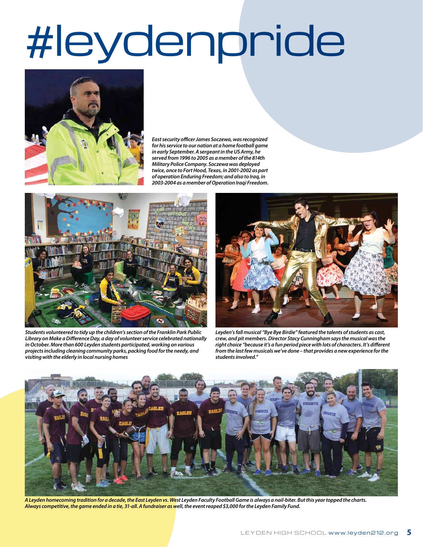# #leydenpride



*East security officer James Soczewa, was recognized for his service to our nation at a home football game in early September. A sergeant in the US Army, he served from 1996 to 2005 as a member of the 814th Military Police Company. Soczewa was deployed twice, once to Fort Hood, Texas, in 2001-2002 as part of operation Enduring Freedom; and also to Iraq, in 2003-2004 as a member of Operation Iraqi Freedom.*



*Students volunteered to tidy up the children's section of the Franklin Park Public Library on Make a Difference Day, a day of volunteer service celebrated nationally in October. More than 600 Leyden students participated, working on various projects including cleaning community parks, packing food for the needy, and visiting with the elderly in local nursing homes*



*Leyden's fall musical "Bye Bye Birdie" featured the talents of students as cast, crew, and pit members. Director Stacy Cunningham says the musical was the right choice "because it's a fun period piece with lots of characters. It's different from the last few musicals we've done – that provides a new experience for the students involved."*



*A Leyden homecoming tradition for a decade, the East Leyden vs. West Leyden Faculty Football Game is always a nail-biter. But this year topped the charts. Always competitive, the game ended in a tie, 31-all. A fundraiser as well, the event reaped \$3,000 for the Leyden Family Fund.*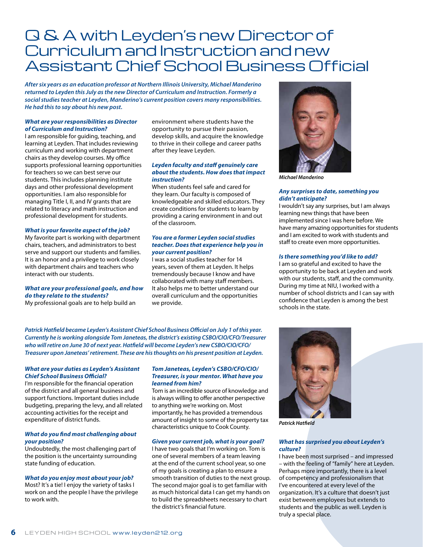## Q & A with Leyden's new Director of Curriculum and Instruction and new Assistant Chief School Business Official

*After six years as an education professor at Northern Illinois University, Michael Manderino returned to Leyden this July as the new Director of Curriculum and Instruction. Formerly a social studies teacher at Leyden, Manderino's current position covers many responsibilities. He had this to say about his new post.* 

#### *What are your responsibilities as Director of Curriculum and Instruction?*

I am responsible for guiding, teaching, and learning at Leyden. That includes reviewing curriculum and working with department chairs as they develop courses. My office supports professional learning opportunities for teachers so we can best serve our students. This includes planning institute days and other professional development opportunities. I am also responsible for managing Title I, II, and IV grants that are related to literacy and math instruction and professional development for students.

#### *What is your favorite aspect of the job?*

My favorite part is working with department chairs, teachers, and administrators to best serve and support our students and families. It is an honor and a privilege to work closely with department chairs and teachers who interact with our students.

### *What are your professional goals, and how do they relate to the students?*

My professional goals are to help build an

environment where students have the opportunity to pursue their passion, develop skills, and acquire the knowledge to thrive in their college and career paths after they leave Leyden.

#### *Leyden faculty and staff genuinely care about the students. How does that impact instruction?*

When students feel safe and cared for they learn. Our faculty is composed of knowledgeable and skilled educators. They create conditions for students to learn by providing a caring environment in and out of the classroom.

#### *You are a former Leyden social studies teacher. Does that experience help you in your current position?*

I was a social studies teacher for 14 years, seven of them at Leyden. It helps tremendously because I know and have collaborated with many staff members. It also helps me to better understand our overall curriculum and the opportunities we provide.



*Michael Manderino*

#### *Any surprises to date, something you didn't anticipate?*

I wouldn't say any surprises, but I am always learning new things that have been implemented since I was here before. We have many amazing opportunities for students and I am excited to work with students and staff to create even more opportunities.

#### *Is there something you'd like to add?*

I am so grateful and excited to have the opportunity to be back at Leyden and work with our students, staff, and the community. During my time at NIU, I worked with a number of school districts and I can say with confidence that Leyden is among the best schools in the state.

*Patrick Hatfield became Leyden's Assistant Chief School Business Official on July 1 of this year. Currently he is working alongside Tom Janeteas, the district's existing CSBO/CIO/CFO/Treasurer who will retire on June 30 of next year. Hatfield will become Leyden's new CSBO/CIO/CFO/ Treasurer upon Janeteas' retirement. These are his thoughts on his present position at Leyden.*

#### *What are your duties as Leyden's Assistant Chief School Business Official?*

I'm responsible for the financial operation of the district and all general business and support functions. Important duties include budgeting, preparing the levy, and all related accounting activities for the receipt and expenditure of district funds.

#### *What do you find most challenging about your position?*

Undoubtedly, the most challenging part of the position is the uncertainty surrounding state funding of education.

## *What do you enjoy most about your job?*

Most? It's a tie! I enjoy the variety of tasks I work on and the people I have the privilege to work with.

#### *Tom Janeteas, Leyden's CSBO/CFO/CIO/ Treasurer, is your mentor. What have you learned from him?*

Tom is an incredible source of knowledge and is always willing to offer another perspective to anything we're working on. Most importantly, he has provided a tremendous amount of insight to some of the property tax characteristics unique to Cook County.

#### *Given your current job, what is your goal?*

I have two goals that I'm working on. Tom is one of several members of a team leaving at the end of the current school year, so one of my goals is creating a plan to ensure a smooth transition of duties to the next group. The second major goal is to get familiar with as much historical data I can get my hands on to build the spreadsheets necessary to chart the district's financial future.



*Patrick Hatfield*

#### *What has surprised you about Leyden's culture?*

I have been most surprised – and impressed – with the feeling of "family" here at Leyden. Perhaps more importantly, there is a level of competency and professionalism that I've encountered at every level of the organization. It's a culture that doesn't just exist between employees but extends to students and the public as well. Leyden is truly a special place.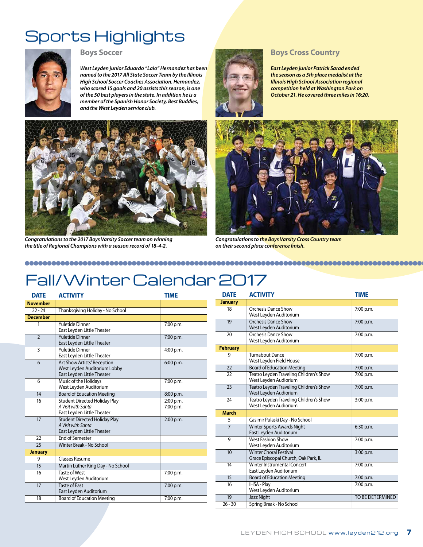## Sports Highlights



*West Leyden junior Eduardo "Lalo" Hernandez has been named to the 2017 All State Soccer Team by the Illinois High School Soccer Coaches Association. Hernandez, who scored 15 goals and 20 assists this season, is one of the 50 best players in the state. In addition he is a member of the Spanish Honor Society, Best Buddies, and the West Leyden service club.*



*East Leyden junior Patrick Sarad ended the season as a 5th place medalist at the Illinois High School Association regional competition held at Washington Park on October 21. He covered three miles in 16:20.* 



*Congratulations to the 2017 Boys Varsity Soccer team on winning the title of Regional Champions with a season record of 18-4-2.*



*Congratulations to the Boys Varsity Cross Country team on their second place conference finish.*

## Fall/Winter Calendar 2017

| <b>DATE</b>     | <b>ACTIVITY</b>                                                                                  | <b>TIME</b>            |
|-----------------|--------------------------------------------------------------------------------------------------|------------------------|
| <b>November</b> |                                                                                                  |                        |
| $22 - 24$       | Thanksgiving Holiday - No School                                                                 |                        |
| <b>December</b> |                                                                                                  |                        |
| 1               | <b>Yuletide Dinner</b><br>East Leyden Little Theater                                             | 7:00 p.m.              |
| $\overline{2}$  | <b>Yuletide Dinner</b><br>East Leyden Little Theater                                             | 7:00 p.m.              |
| $\overline{3}$  | <b>Yuletide Dinner</b><br>East Leyden Little Theater                                             | 4:00 p.m.              |
| 6               | <b>Art Show Artists' Reception</b><br>West Leyden Auditorium Lobby<br>East Leyden Little Theater | 6:00 p.m.              |
| 6               | Music of the Holidays<br>West Leyden Auditorium                                                  | 7:00 p.m.              |
| 14              | <b>Board of Education Meeting</b>                                                                | 8:00 p.m.              |
| 16              | <b>Student Directed Holiday Play</b><br>A Visit with Santa<br>East Leyden Little Theater         | 2:00 p.m.<br>7:00 p.m. |
| 17              | <b>Student Directed Holiday Play</b><br>A Visit with Santa<br>East Leyden Little Theater         | 2:00 p.m.              |
| 22              | <b>Fnd of Semester</b>                                                                           |                        |
| $\overline{25}$ | Winter Break - No School                                                                         |                        |
| <b>January</b>  |                                                                                                  |                        |
| 9               | <b>Classes Resume</b>                                                                            |                        |
| 15              | Martin Luther King Day - No School                                                               |                        |
| 16              | <b>Taste of West</b><br>West Leyden Auditorium                                                   | 7:00 p.m.              |
| 17              | <b>Taste of Fast</b><br>East Leyden Auditorium                                                   | 7:00 p.m.              |
| 18              | <b>Board of Education Meeting</b>                                                                | 7:00 p.m.              |

| <b>DATE</b>     | <b>ACTIVITY</b>                                                       | <b>TIME</b>      |
|-----------------|-----------------------------------------------------------------------|------------------|
| <b>January</b>  |                                                                       |                  |
| 18              | Orchesis Dance Show<br>West Leyden Auditorium                         | 7:00 p.m.        |
| 19              | Orchesis Dance Show<br>West Leyden Auditorium                         | 7:00 p.m.        |
| 20              | <b>Orchesis Dance Show</b><br>West Leyden Auditorium                  | 7:00 p.m.        |
| <b>February</b> |                                                                       |                  |
| 9               | Turnabout Dance<br>West Leyden Field House                            | 7:00 p.m.        |
| 22              | <b>Board of Education Meeting</b>                                     | 7:00 p.m.        |
| $\overline{22}$ | Teatro Leyden Traveling Children's Show<br>West Leyden Audiorium      | 7:00 p.m.        |
| 23              | Teatro Leyden Traveling Children's Show<br>West Leyden Audiorium      | 7:00 p.m.        |
| 24              | Teatro Leyden Traveling Children's Show<br>West Leyden Audiorium      | 3:00 p.m.        |
| <b>March</b>    |                                                                       |                  |
| 5               | Casimir Pulaski Day - No School                                       |                  |
| $\overline{7}$  | <b>Winter Sports Awards Night</b><br>East Leyden Auditorium           | 6:30 p.m.        |
| 9               | <b>West Fashion Show</b><br>West Leyden Auditorium                    | 7:00 p.m.        |
| 10              | <b>Winter Choral Festival</b><br>Grace Episcopal Church, Oak Park, IL | 3:00 p.m.        |
| 14              | Winter Instrumental Concert<br>East Leyden Auditorium                 | 7:00 p.m.        |
| 15              | <b>Board of Education Meeting</b>                                     | 7:00 p.m.        |
| 16              | <b>IHSA - Play</b><br>West Leyden Auditorium                          | 7:00 p.m.        |
| 19              | <b>Jazz Night</b>                                                     | TO BE DETERMINED |
| $26 - 30$       | Spring Break - No School                                              |                  |
|                 |                                                                       |                  |